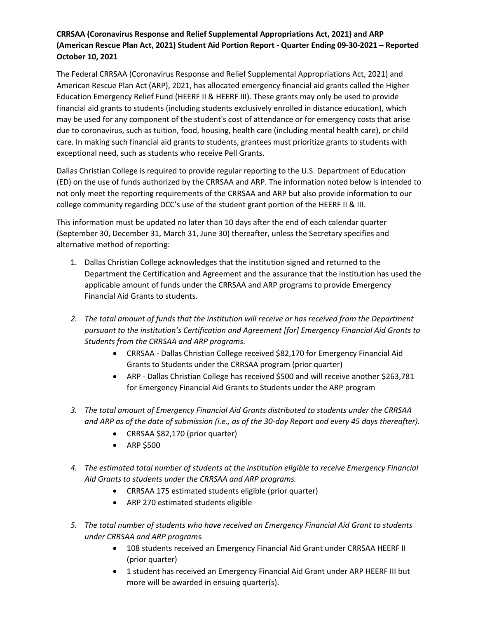## **CRRSAA (Coronavirus Response and Relief Supplemental Appropriations Act, 2021) and ARP (American Rescue Plan Act, 2021) Student Aid Portion Report - Quarter Ending 09-30-2021 – Reported October 10, 2021**

The Federal CRRSAA (Coronavirus Response and Relief Supplemental Appropriations Act, 2021) and American Rescue Plan Act (ARP), 2021, has allocated emergency financial aid grants called the Higher Education Emergency Relief Fund (HEERF II & HEERF III). These grants may only be used to provide financial aid grants to students (including students exclusively enrolled in distance education), which may be used for any component of the student's cost of attendance or for emergency costs that arise due to coronavirus, such as tuition, food, housing, health care (including mental health care), or child care. In making such financial aid grants to students, grantees must prioritize grants to students with exceptional need, such as students who receive Pell Grants.

Dallas Christian College is required to provide regular reporting to the U.S. Department of Education (ED) on the use of funds authorized by the CRRSAA and ARP. The information noted below is intended to not only meet the reporting requirements of the CRRSAA and ARP but also provide information to our college community regarding DCC's use of the student grant portion of the HEERF II & III.

This information must be updated no later than 10 days after the end of each calendar quarter (September 30, December 31, March 31, June 30) thereafter, unless the Secretary specifies and alternative method of reporting:

- 1. Dallas Christian College acknowledges that the institution signed and returned to the Department the Certification and Agreement and the assurance that the institution has used the applicable amount of funds under the CRRSAA and ARP programs to provide Emergency Financial Aid Grants to students.
- *2. The total amount of funds that the institution will receive or has received from the Department pursuant to the institution's Certification and Agreement [for] Emergency Financial Aid Grants to Students from the CRRSAA and ARP programs.*
	- CRRSAA Dallas Christian College received \$82,170 for Emergency Financial Aid Grants to Students under the CRRSAA program (prior quarter)
	- ARP Dallas Christian College has received \$500 and will receive another \$263,781 for Emergency Financial Aid Grants to Students under the ARP program
- *3. The total amount of Emergency Financial Aid Grants distributed to students under the CRRSAA and ARP as of the date of submission (i.e., as of the 30-day Report and every 45 days thereafter).*
	- CRRSAA \$82,170 (prior quarter)
	- ARP \$500
- *4. The estimated total number of students at the institution eligible to receive Emergency Financial Aid Grants to students under the CRRSAA and ARP programs.*
	- CRRSAA 175 estimated students eligible (prior quarter)
	- ARP 270 estimated students eligible
- *5. The total number of students who have received an Emergency Financial Aid Grant to students under CRRSAA and ARP programs.*
	- 108 students received an Emergency Financial Aid Grant under CRRSAA HEERF II (prior quarter)
	- 1 student has received an Emergency Financial Aid Grant under ARP HEERF III but more will be awarded in ensuing quarter(s).